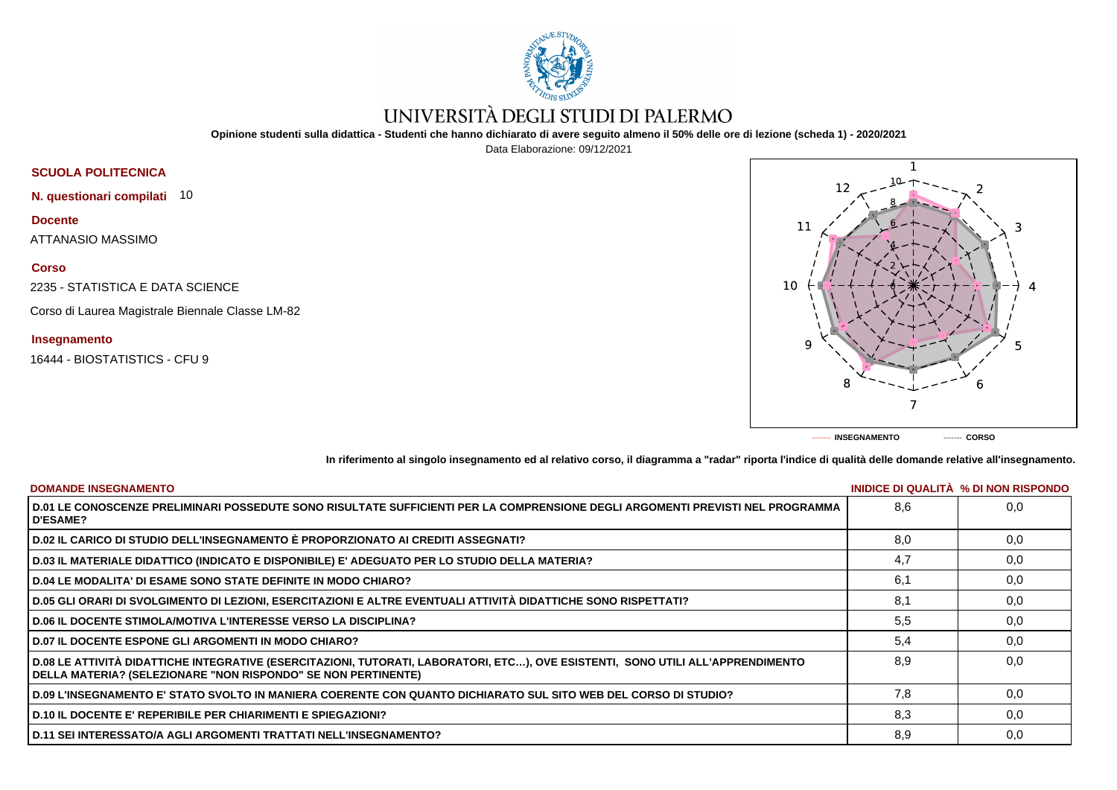

# UNIVERSITÀ DEGLI STUDI DI PALERMO

**Opinione studenti sulla didattica - Studenti che hanno dichiarato di avere seguito almeno il 50% delle ore di lezione (scheda 1) - 2020/2021**

Data Elaborazione: 09/12/2021



**N. questionari compilati** 10

**Docente**

ATTANASIO MASSIMO

## **Corso**

2235 - STATISTICA E DATA SCIENCE

Corso di Laurea Magistrale Biennale Classe LM-82

### **Insegnamento**

16444 - BIOSTATISTICS - CFU 9



**In riferimento al singolo insegnamento ed al relativo corso, il diagramma a "radar" riporta l'indice di qualità delle domande relative all'insegnamento.**

| <b>DOMANDE INSEGNAMENTO</b>                                                                                                                                                                             |     | INIDICE DI QUALITA % DI NON RISPONDO |
|---------------------------------------------------------------------------------------------------------------------------------------------------------------------------------------------------------|-----|--------------------------------------|
| D.01 LE CONOSCENZE PRELIMINARI POSSEDUTE SONO RISULTATE SUFFICIENTI PER LA COMPRENSIONE DEGLI ARGOMENTI PREVISTI NEL PROGRAMMA<br><b>D'ESAME?</b>                                                       | 8.6 | 0.0                                  |
| D.02 IL CARICO DI STUDIO DELL'INSEGNAMENTO È PROPORZIONATO AI CREDITI ASSEGNATI?                                                                                                                        | 8.0 | 0,0                                  |
| D.03 IL MATERIALE DIDATTICO (INDICATO E DISPONIBILE) E' ADEGUATO PER LO STUDIO DELLA MATERIA?                                                                                                           | 4,7 | 0,0                                  |
| D.04 LE MODALITA' DI ESAME SONO STATE DEFINITE IN MODO CHIARO?                                                                                                                                          | 6.1 | 0,0                                  |
| D.05 GLI ORARI DI SVOLGIMENTO DI LEZIONI, ESERCITAZIONI E ALTRE EVENTUALI ATTIVITÀ DIDATTICHE SONO RISPETTATI?                                                                                          | 8,1 | 0,0                                  |
| <b>D.06 IL DOCENTE STIMOLA/MOTIVA L'INTERESSE VERSO LA DISCIPLINA?</b>                                                                                                                                  | 5,5 | 0,0                                  |
| <b>D.07 IL DOCENTE ESPONE GLI ARGOMENTI IN MODO CHIARO?</b>                                                                                                                                             | 5,4 | 0,0                                  |
| D.08 LE ATTIVITÀ DIDATTICHE INTEGRATIVE (ESERCITAZIONI, TUTORATI, LABORATORI, ETC), OVE ESISTENTI, SONO UTILI ALL'APPRENDIMENTO<br><b>DELLA MATERIA? (SELEZIONARE "NON RISPONDO" SE NON PERTINENTE)</b> | 8.9 | 0.0                                  |
| D.09 L'INSEGNAMENTO E' STATO SVOLTO IN MANIERA COERENTE CON QUANTO DICHIARATO SUL SITO WEB DEL CORSO DI STUDIO?                                                                                         | 7.8 | 0.0                                  |
| <b>D.10 IL DOCENTE E' REPERIBILE PER CHIARIMENTI E SPIEGAZIONI?</b>                                                                                                                                     | 8,3 | 0.0                                  |
| D.11 SEI INTERESSATO/A AGLI ARGOMENTI TRATTATI NELL'INSEGNAMENTO?                                                                                                                                       | 8,9 | 0,0                                  |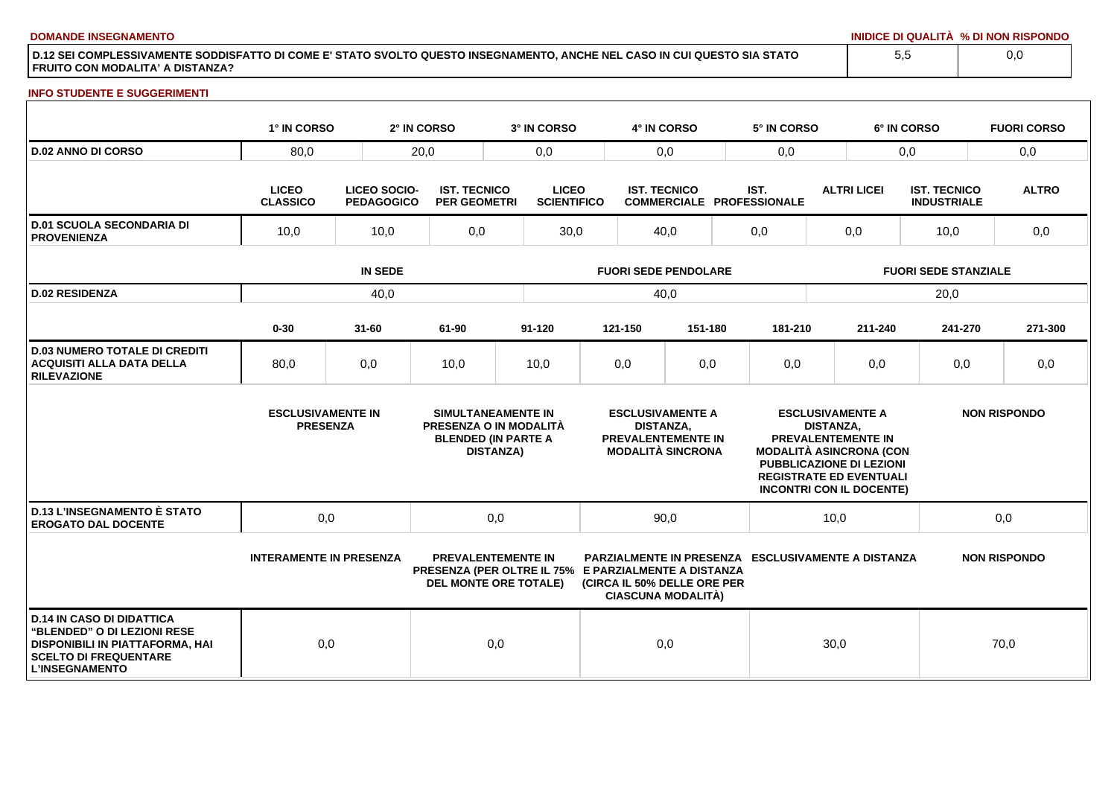**DOMANDE INSEGNAMENTO INIDICE DI QUALITÀ % DI NON RISPONDO**

**D.12 SEI COMPLESSIVAMENTE SODDISFATTO DI COME E' STATO SVOLTO QUESTO INSEGNAMENTO, ANCHE NEL CASO IN CUI QUESTO SIA STATO FRUITO CON MODALITA' A DISTANZA?**

### **INFO STUDENTE E SUGGERIMENTI**

|                                                                                                                                                             | 1° IN CORSO                                 |                                          | 2° IN CORSO                                | 3° IN CORSO                                                                                                       |                     | 4° IN CORSO                                                                                          |                                          |                             | 5° IN CORSO                                        |                  |                                                                                                                                                       | 6° IN CORSO |              | <b>FUORI CORSO</b>  |
|-------------------------------------------------------------------------------------------------------------------------------------------------------------|---------------------------------------------|------------------------------------------|--------------------------------------------|-------------------------------------------------------------------------------------------------------------------|---------------------|------------------------------------------------------------------------------------------------------|------------------------------------------|-----------------------------|----------------------------------------------------|------------------|-------------------------------------------------------------------------------------------------------------------------------------------------------|-------------|--------------|---------------------|
| <b>D.02 ANNO DI CORSO</b>                                                                                                                                   | 80,0                                        |                                          | 20,0                                       | 0,0                                                                                                               | 0,0                 |                                                                                                      |                                          | 0,0                         |                                                    | 0,0              |                                                                                                                                                       |             | 0,0          |                     |
|                                                                                                                                                             | <b>LICEO</b><br><b>CLASSICO</b>             | <b>LICEO SOCIO-</b><br><b>PEDAGOGICO</b> | <b>IST. TECNICO</b><br><b>PER GEOMETRI</b> | <b>LICEO</b><br><b>SCIENTIFICO</b>                                                                                | <b>IST. TECNICO</b> |                                                                                                      | IST.<br><b>COMMERCIALE PROFESSIONALE</b> |                             | <b>ALTRI LICEI</b>                                 |                  | <b>IST. TECNICO</b><br><b>INDUSTRIALE</b>                                                                                                             |             | <b>ALTRO</b> |                     |
| <b>D.01 SCUOLA SECONDARIA DI</b><br><b>PROVENIENZA</b>                                                                                                      | 10,0                                        | 10,0                                     |                                            | 30,0                                                                                                              |                     | 40,0                                                                                                 |                                          | 0,0                         |                                                    | 0,0              |                                                                                                                                                       | 10,0        |              | 0,0                 |
|                                                                                                                                                             |                                             |                                          | <b>FUORI SEDE PENDOLARE</b>                |                                                                                                                   |                     |                                                                                                      |                                          | <b>FUORI SEDE STANZIALE</b> |                                                    |                  |                                                                                                                                                       |             |              |                     |
| <b>D.02 RESIDENZA</b>                                                                                                                                       |                                             | 40,0                                     |                                            |                                                                                                                   |                     | 40,0                                                                                                 |                                          |                             |                                                    |                  |                                                                                                                                                       | 20,0        |              |                     |
|                                                                                                                                                             | $0 - 30$                                    | $31 - 60$                                | 61-90                                      | $91 - 120$                                                                                                        |                     | 121-150                                                                                              | 151-180                                  |                             | 181-210                                            |                  | 211-240                                                                                                                                               | 241-270     |              | 271-300             |
| <b>D.03 NUMERO TOTALE DI CREDITI</b><br><b>ACQUISITI ALLA DATA DELLA</b><br><b>RILEVAZIONE</b>                                                              | 80,0                                        | 0,0                                      | 10,0                                       | 10,0                                                                                                              |                     | 0,0                                                                                                  | 0,0                                      |                             | 0,0                                                |                  | 0,0                                                                                                                                                   | 0,0         |              | 0,0                 |
|                                                                                                                                                             | <b>ESCLUSIVAMENTE IN</b><br><b>PRESENZA</b> |                                          |                                            | SIMULTANEAMENTE IN<br>PRESENZA O IN MODALITÀ<br><b>BLENDED (IN PARTE A</b><br><b>DISTANZA)</b>                    |                     | <b>ESCLUSIVAMENTE A</b><br><b>DISTANZA,</b><br><b>PREVALENTEMENTE IN</b><br><b>MODALITÀ SINCRONA</b> |                                          |                             | <b>MODALITÀ ASINCRONA (CON</b>                     | <b>DISTANZA.</b> | <b>ESCLUSIVAMENTE A</b><br><b>PREVALENTEMENTE IN</b><br>PUBBLICAZIONE DI LEZIONI<br><b>REGISTRATE ED EVENTUALI</b><br><b>INCONTRI CON IL DOCENTE)</b> |             |              | <b>NON RISPONDO</b> |
| <b>D.13 L'INSEGNAMENTO È STATO</b><br><b>EROGATO DAL DOCENTE</b>                                                                                            | 0,0                                         |                                          |                                            | 0,0                                                                                                               | 90,0                |                                                                                                      | 10,0                                     |                             |                                                    | 0,0              |                                                                                                                                                       |             |              |                     |
|                                                                                                                                                             | <b>INTERAMENTE IN PRESENZA</b>              |                                          |                                            | <b>PREVALENTEMENTE IN</b><br>PRESENZA (PER OLTRE IL 75% E PARZIALMENTE A DISTANZA<br><b>DEL MONTE ORE TOTALE)</b> |                     | (CIRCA IL 50% DELLE ORE PER<br><b>CIASCUNA MODALITÀ)</b>                                             |                                          |                             | PARZIALMENTE IN PRESENZA ESCLUSIVAMENTE A DISTANZA |                  |                                                                                                                                                       |             |              | <b>NON RISPONDO</b> |
| <b>D.14 IN CASO DI DIDATTICA</b><br>"BLENDED" O DI LEZIONI RESE<br>DISPONIBILI IN PIATTAFORMA, HAI<br><b>SCELTO DI FREQUENTARE</b><br><b>L'INSEGNAMENTO</b> | 0,0                                         |                                          |                                            | 0,0                                                                                                               |                     | 0,0                                                                                                  |                                          |                             |                                                    | 30,0             |                                                                                                                                                       |             | 70,0         |                     |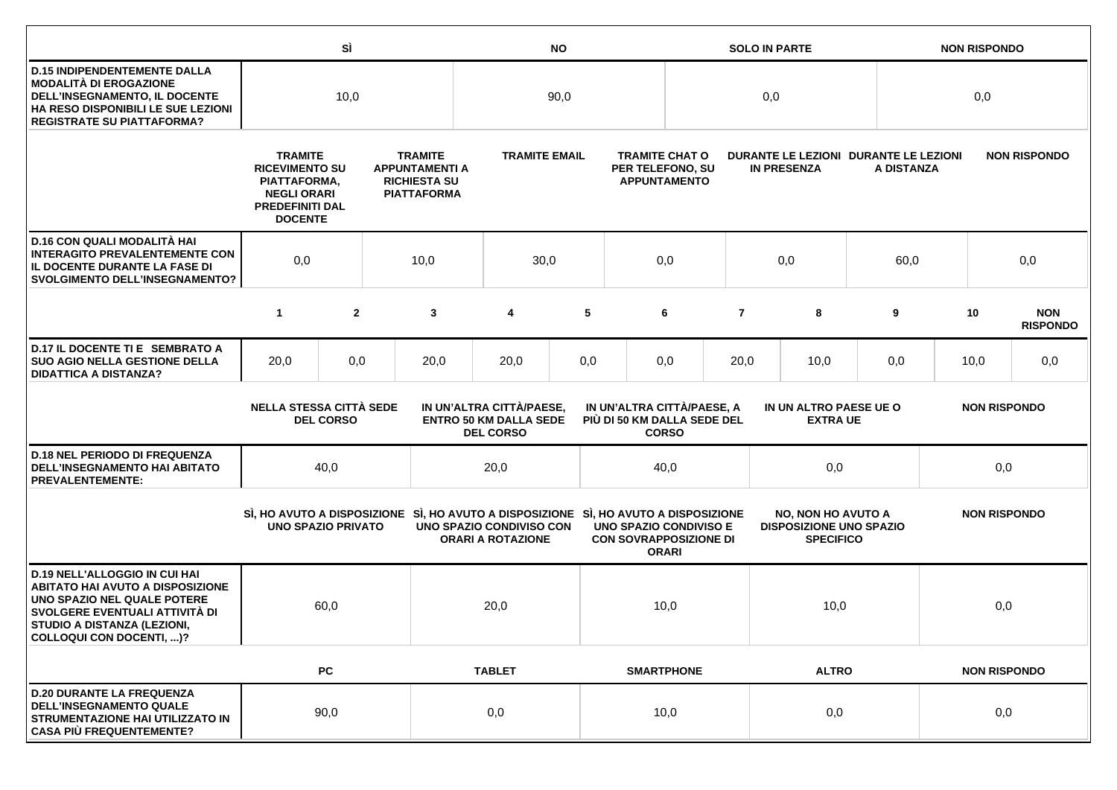|                                                                                                                                                                                                             |                                                                                                                           | SÌ                                                                                                                                                                                                               |  |                                                                                      |                                                      | <b>NO</b> |                                                                  |                                                                  |                | <b>SOLO IN PARTE</b>                                                            |      |            | <b>NON RISPONDO</b> |                               |  |
|-------------------------------------------------------------------------------------------------------------------------------------------------------------------------------------------------------------|---------------------------------------------------------------------------------------------------------------------------|------------------------------------------------------------------------------------------------------------------------------------------------------------------------------------------------------------------|--|--------------------------------------------------------------------------------------|------------------------------------------------------|-----------|------------------------------------------------------------------|------------------------------------------------------------------|----------------|---------------------------------------------------------------------------------|------|------------|---------------------|-------------------------------|--|
| <b>D.15 INDIPENDENTEMENTE DALLA</b><br><b>MODALITÀ DI EROGAZIONE</b><br>DELL'INSEGNAMENTO, IL DOCENTE<br>HA RESO DISPONIBILI LE SUE LEZIONI<br><b>REGISTRATE SU PIATTAFORMA?</b>                            |                                                                                                                           | 10,0                                                                                                                                                                                                             |  |                                                                                      | 90,0                                                 |           |                                                                  |                                                                  | 0,0            |                                                                                 |      |            | 0,0                 |                               |  |
|                                                                                                                                                                                                             | <b>TRAMITE</b><br><b>RICEVIMENTO SU</b><br>PIATTAFORMA,<br><b>NEGLI ORARI</b><br><b>PREDEFINITI DAL</b><br><b>DOCENTE</b> |                                                                                                                                                                                                                  |  | <b>TRAMITE</b><br><b>APPUNTAMENTI A</b><br><b>RICHIESTA SU</b><br><b>PIATTAFORMA</b> | <b>TRAMITE EMAIL</b>                                 |           |                                                                  | <b>TRAMITE CHAT O</b><br>PER TELEFONO, SU<br><b>APPUNTAMENTO</b> |                | DURANTE LE LEZIONI DURANTE LE LEZIONI<br><b>IN PRESENZA</b>                     |      | A DISTANZA | <b>NON RISPONDO</b> |                               |  |
| D.16 CON QUALI MODALITÀ HAI<br><b>INTERAGITO PREVALENTEMENTE CON</b><br>IL DOCENTE DURANTE LA FASE DI<br><b>SVOLGIMENTO DELL'INSEGNAMENTO?</b>                                                              | 0,0                                                                                                                       | 10,0                                                                                                                                                                                                             |  |                                                                                      | 30,0                                                 |           | 0,0                                                              | 0,0                                                              |                |                                                                                 | 60,0 | 0,0        |                     |                               |  |
|                                                                                                                                                                                                             | $\mathbf{1}$                                                                                                              | $\overline{2}$                                                                                                                                                                                                   |  | 3                                                                                    | 4                                                    | 5         |                                                                  | 6                                                                | $\overline{7}$ | 8                                                                               |      | 9          | 10                  | <b>NON</b><br><b>RISPONDO</b> |  |
| D.17 IL DOCENTE TI E SEMBRATO A<br><b>SUO AGIO NELLA GESTIONE DELLA</b><br><b>DIDATTICA A DISTANZA?</b>                                                                                                     | 20,0                                                                                                                      | 0,0                                                                                                                                                                                                              |  | 20,0                                                                                 | 20,0                                                 | 0,0       |                                                                  | 0,0                                                              | 20,0<br>10,0   |                                                                                 |      | 0,0        | 10,0                | 0,0                           |  |
|                                                                                                                                                                                                             |                                                                                                                           | <b>NELLA STESSA CITTÀ SEDE</b><br>IN UN'ALTRA CITTÀ/PAESE,<br>IN UN'ALTRA CITTÀ/PAESE, A<br><b>ENTRO 50 KM DALLA SEDE</b><br>PIÙ DI 50 KM DALLA SEDE DEL<br><b>DEL CORSO</b><br><b>DEL CORSO</b><br><b>CORSO</b> |  |                                                                                      |                                                      |           | IN UN ALTRO PAESE UE O<br><b>NON RISPONDO</b><br><b>EXTRA UE</b> |                                                                  |                |                                                                                 |      |            |                     |                               |  |
| <b>D.18 NEL PERIODO DI FREQUENZA</b><br>DELL'INSEGNAMENTO HAI ABITATO<br><b>PREVALENTEMENTE:</b>                                                                                                            |                                                                                                                           | 40,0                                                                                                                                                                                                             |  |                                                                                      | 20,0                                                 |           |                                                                  | 40,0                                                             | 0,0            |                                                                                 |      | 0,0        |                     |                               |  |
|                                                                                                                                                                                                             | <b>UNO SPAZIO PRIVATO</b>                                                                                                 |                                                                                                                                                                                                                  |  | SI, HO AVUTO A DISPOSIZIONE SI, HO AVUTO A DISPOSIZIONE SI, HO AVUTO A DISPOSIZIONE  | UNO SPAZIO CONDIVISO CON<br><b>ORARI A ROTAZIONE</b> |           | UNO SPAZIO CONDIVISO E<br><b>CON SOVRAPPOSIZIONE DI</b>          | <b>ORARI</b>                                                     |                | <b>NO, NON HO AVUTO A</b><br><b>DISPOSIZIONE UNO SPAZIO</b><br><b>SPECIFICO</b> |      |            | <b>NON RISPONDO</b> |                               |  |
| <b>D.19 NELL'ALLOGGIO IN CUI HAI</b><br><b>ABITATO HAI AVUTO A DISPOSIZIONE</b><br>UNO SPAZIO NEL QUALE POTERE<br>SVOLGERE EVENTUALI ATTIVITÀ DI<br>STUDIO A DISTANZA (LEZIONI,<br>COLLOQUI CON DOCENTI, )? |                                                                                                                           | 60,0                                                                                                                                                                                                             |  |                                                                                      | 20,0                                                 |           | 10,0                                                             |                                                                  |                |                                                                                 | 10,0 |            | 0,0                 |                               |  |
|                                                                                                                                                                                                             |                                                                                                                           | PC                                                                                                                                                                                                               |  |                                                                                      | <b>TABLET</b>                                        |           |                                                                  | <b>SMARTPHONE</b>                                                |                | <b>ALTRO</b>                                                                    |      |            | <b>NON RISPONDO</b> |                               |  |
| <b>D.20 DURANTE LA FREQUENZA</b><br><b>DELL'INSEGNAMENTO QUALE</b><br>STRUMENTAZIONE HAI UTILIZZATO IN<br><b>CASA PIÙ FREQUENTEMENTE?</b>                                                                   |                                                                                                                           | 90,0                                                                                                                                                                                                             |  |                                                                                      | 0,0                                                  |           |                                                                  | 10,0                                                             | 0,0            |                                                                                 |      | 0,0        |                     |                               |  |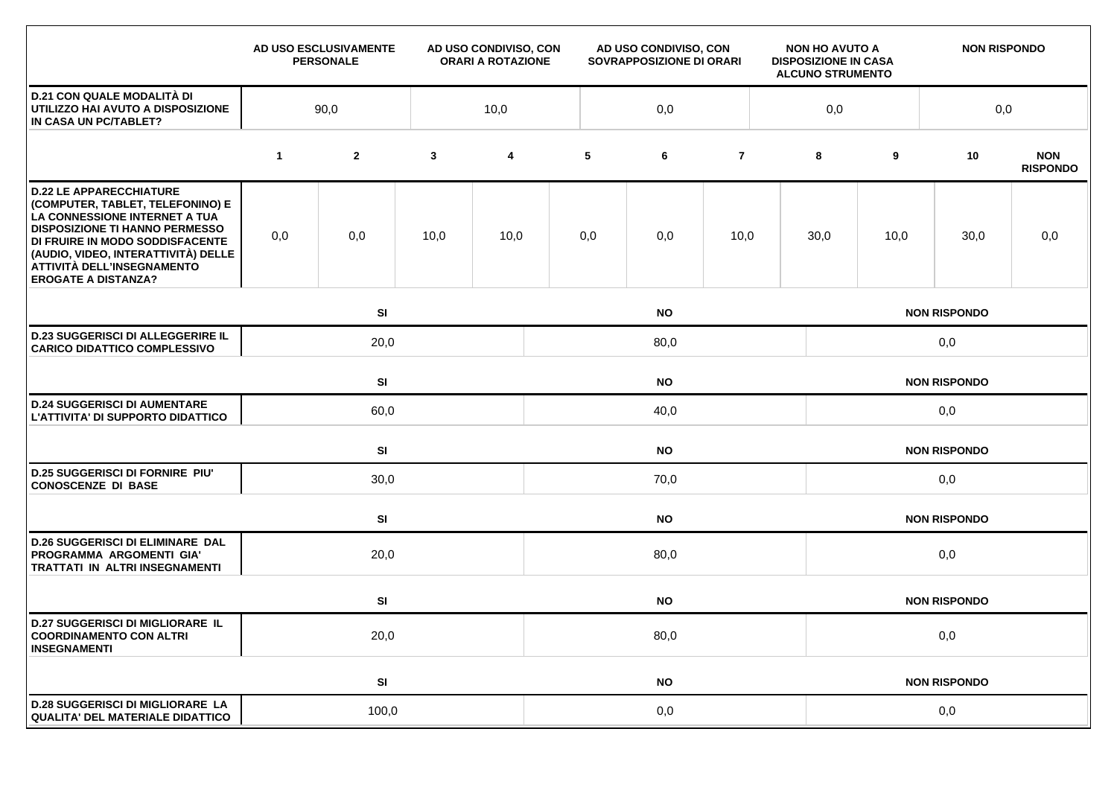|                                                                                                                                                                                                                                                                                    |              | AD USO ESCLUSIVAMENTE<br><b>PERSONALE</b> |              | AD USO CONDIVISO, CON<br><b>ORARI A ROTAZIONE</b> |           | AD USO CONDIVISO, CON<br>SOVRAPPOSIZIONE DI ORARI |                |  | <b>NON HO AVUTO A</b><br><b>DISPOSIZIONE IN CASA</b><br><b>ALCUNO STRUMENTO</b> |            | <b>NON RISPONDO</b> |                               |  |  |  |
|------------------------------------------------------------------------------------------------------------------------------------------------------------------------------------------------------------------------------------------------------------------------------------|--------------|-------------------------------------------|--------------|---------------------------------------------------|-----------|---------------------------------------------------|----------------|--|---------------------------------------------------------------------------------|------------|---------------------|-------------------------------|--|--|--|
| <b>D.21 CON QUALE MODALITÀ DI</b><br>UTILIZZO HAI AVUTO A DISPOSIZIONE<br>IN CASA UN PC/TABLET?                                                                                                                                                                                    | 90,0<br>10,0 |                                           |              |                                                   | 0,0       |                                                   |                |  |                                                                                 | 0,0<br>0,0 |                     |                               |  |  |  |
|                                                                                                                                                                                                                                                                                    | $\mathbf{1}$ | $\mathbf{2}$                              | $\mathbf{3}$ | 4                                                 | 5         | 6                                                 | $\overline{7}$ |  | 8                                                                               | 9          | 10                  | <b>NON</b><br><b>RISPONDO</b> |  |  |  |
| <b>D.22 LE APPARECCHIATURE</b><br>(COMPUTER, TABLET, TELEFONINO) E<br>LA CONNESSIONE INTERNET A TUA<br><b>DISPOSIZIONE TI HANNO PERMESSO</b><br>DI FRUIRE IN MODO SODDISFACENTE<br>(AUDIO, VIDEO, INTERATTIVITÀ) DELLE<br>ATTIVITÀ DELL'INSEGNAMENTO<br><b>EROGATE A DISTANZA?</b> | 0,0          | 0,0                                       | 10,0         | 10,0                                              | 0,0       | 0,0                                               | 10,0           |  | 30,0                                                                            | 10,0       | 30,0                | 0,0                           |  |  |  |
|                                                                                                                                                                                                                                                                                    |              | SI                                        |              |                                                   |           | <b>NO</b>                                         |                |  | <b>NON RISPONDO</b>                                                             |            |                     |                               |  |  |  |
| <b>D.23 SUGGERISCI DI ALLEGGERIRE IL</b><br><b>CARICO DIDATTICO COMPLESSIVO</b>                                                                                                                                                                                                    |              | 20,0<br>80,0                              |              |                                                   |           |                                                   |                |  | 0,0                                                                             |            |                     |                               |  |  |  |
|                                                                                                                                                                                                                                                                                    |              | SI<br><b>NO</b>                           |              |                                                   |           |                                                   |                |  | <b>NON RISPONDO</b>                                                             |            |                     |                               |  |  |  |
| <b>D.24 SUGGERISCI DI AUMENTARE</b><br>L'ATTIVITA' DI SUPPORTO DIDATTICO                                                                                                                                                                                                           |              | 60,0                                      |              |                                                   |           | 40,0                                              |                |  | 0,0                                                                             |            |                     |                               |  |  |  |
|                                                                                                                                                                                                                                                                                    |              | SI                                        |              |                                                   |           | <b>NO</b>                                         |                |  | <b>NON RISPONDO</b>                                                             |            |                     |                               |  |  |  |
| <b>D.25 SUGGERISCI DI FORNIRE PIU'</b><br><b>CONOSCENZE DI BASE</b>                                                                                                                                                                                                                |              | 30,0                                      |              |                                                   | 70,0      |                                                   |                |  |                                                                                 | 0,0        |                     |                               |  |  |  |
|                                                                                                                                                                                                                                                                                    |              | SI                                        |              |                                                   | <b>NO</b> |                                                   |                |  |                                                                                 |            | <b>NON RISPONDO</b> |                               |  |  |  |
| <b>D.26 SUGGERISCI DI ELIMINARE DAL</b><br>PROGRAMMA ARGOMENTI GIA'<br>TRATTATI IN ALTRI INSEGNAMENTI                                                                                                                                                                              |              | 20,0                                      |              | 80,0                                              |           |                                                   |                |  |                                                                                 | 0,0        |                     |                               |  |  |  |
|                                                                                                                                                                                                                                                                                    |              | SI                                        |              |                                                   | <b>NO</b> |                                                   |                |  |                                                                                 |            | <b>NON RISPONDO</b> |                               |  |  |  |
| <b>D.27 SUGGERISCI DI MIGLIORARE IL</b><br><b>COORDINAMENTO CON ALTRI</b><br><b>INSEGNAMENTI</b>                                                                                                                                                                                   |              | 20,0                                      |              |                                                   | 80,0      |                                                   |                |  |                                                                                 | 0,0        |                     |                               |  |  |  |
|                                                                                                                                                                                                                                                                                    |              | SI                                        |              |                                                   |           | <b>NO</b>                                         |                |  | <b>NON RISPONDO</b>                                                             |            |                     |                               |  |  |  |
| <b>D.28 SUGGERISCI DI MIGLIORARE LA</b><br><b>QUALITA' DEL MATERIALE DIDATTICO</b>                                                                                                                                                                                                 |              | 100,0                                     |              |                                                   | 0,0       |                                                   |                |  | 0,0                                                                             |            |                     |                               |  |  |  |